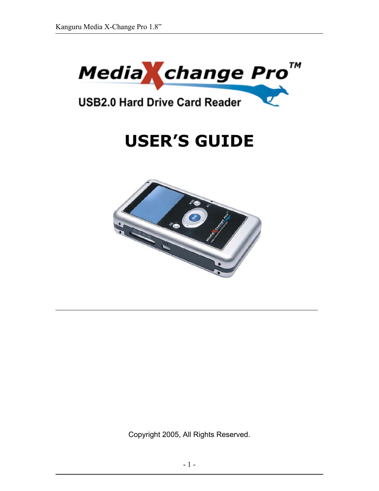

# **USB2.0 Hard Drive Card Reader**

# **USER'S GUIDE**



Copyright 2005, All Rights Reserved.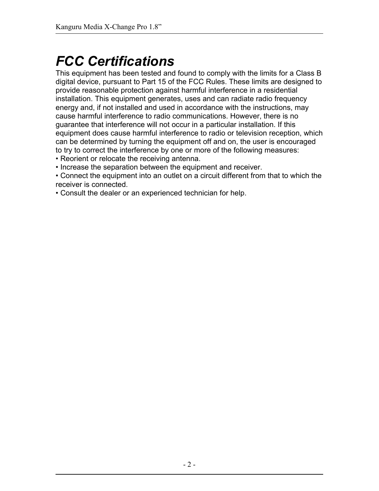# *FCC Certifications*

This equipment has been tested and found to comply with the limits for a Class B digital device, pursuant to Part 15 of the FCC Rules. These limits are designed to provide reasonable protection against harmful interference in a residential installation. This equipment generates, uses and can radiate radio frequency energy and, if not installed and used in accordance with the instructions, may cause harmful interference to radio communications. However, there is no guarantee that interference will not occur in a particular installation. If this equipment does cause harmful interference to radio or television reception, which can be determined by turning the equipment off and on, the user is encouraged to try to correct the interference by one or more of the following measures:

- Reorient or relocate the receiving antenna.
- Increase the separation between the equipment and receiver.
- Connect the equipment into an outlet on a circuit different from that to which the receiver is connected.
- Consult the dealer or an experienced technician for help.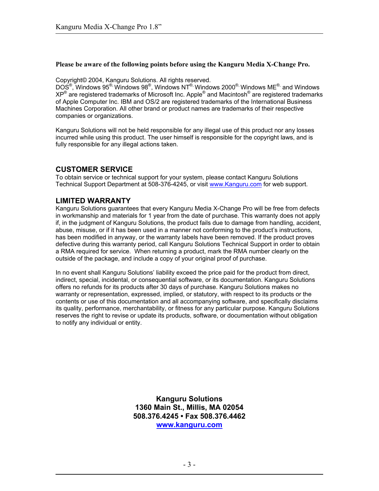#### **Please be aware of the following points before using the Kanguru Media X-Change Pro.**

Copyright© 2004, Kanguru Solutions. All rights reserved.

DOS $^{\circledR}$ , Windows  $95^{\circledR}$ , Windows  $98^{\circledR}$ , Windows NT $^{\circledR}$ , Windows M $\mathsf{E}^{\circledR}$ , and Windows  $\mathsf{MSE}^{\circledR}$ XP $^{\circledR}$  are registered trademarks of Microsoft Inc. Apple $^{\circledR}$  and Macintosh $^{\circledR}$  are registered trademarks of Apple Computer Inc. IBM and OS/2 are registered trademarks of the International Business Machines Corporation. All other brand or product names are trademarks of their respective companies or organizations.

Kanguru Solutions will not be held responsible for any illegal use of this product nor any losses incurred while using this product. The user himself is responsible for the copyright laws, and is fully responsible for any illegal actions taken.

### **CUSTOMER SERVICE**

To obtain service or technical support for your system, please contact Kanguru Solutions Technical Support Department at 508-376-4245, or visit www.Kanguru.com for web support.

### **LIMITED WARRANTY**

Kanguru Solutions guarantees that every Kanguru Media X-Change Pro will be free from defects in workmanship and materials for 1 year from the date of purchase. This warranty does not apply if, in the judgment of Kanguru Solutions, the product fails due to damage from handling, accident, abuse, misuse, or if it has been used in a manner not conforming to the product's instructions, has been modified in anyway, or the warranty labels have been removed. If the product proves defective during this warranty period, call Kanguru Solutions Technical Support in order to obtain a RMA required for service. When returning a product, mark the RMA number clearly on the outside of the package, and include a copy of your original proof of purchase.

In no event shall Kanguru Solutions' liability exceed the price paid for the product from direct, indirect, special, incidental, or consequential software, or its documentation. Kanguru Solutions offers no refunds for its products after 30 days of purchase. Kanguru Solutions makes no warranty or representation, expressed, implied, or statutory, with respect to its products or the contents or use of this documentation and all accompanying software, and specifically disclaims its quality, performance, merchantability, or fitness for any particular purpose. Kanguru Solutions reserves the right to revise or update its products, software, or documentation without obligation to notify any individual or entity.

> **Kanguru Solutions 1360 Main St., Millis, MA 02054 508.376.4245 • Fax 508.376.4462 www.kanguru.com**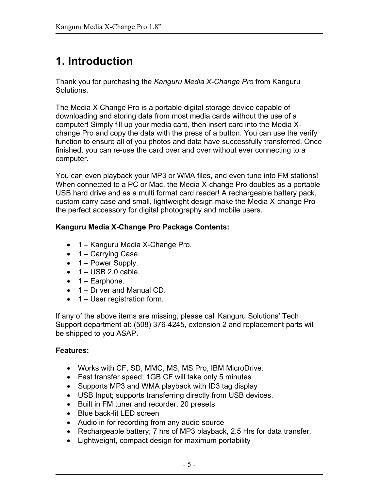# **1. Introduction**

Thank you for purchasing the *Kanguru Media X-Change Pro* from Kanguru Solutions.

The Media X Change Pro is a portable digital storage device capable of downloading and storing data from most media cards without the use of a computer! Simply fill up your media card, then insert card into the Media Xchange Pro and copy the data with the press of a button. You can use the verify function to ensure all of you photos and data have successfully transferred. Once finished, you can re-use the card over and over without ever connecting to a computer.

You can even playback your MP3 or WMA files, and even tune into FM stations! When connected to a PC or Mac, the Media X-change Pro doubles as a portable USB hard drive and as a multi format card reader! A rechargeable battery pack, custom carry case and small, lightweight design make the Media X-change Pro the perfect accessory for digital photography and mobile users.

# **Kanguru Media X-Change Pro Package Contents:**

- 1 Kanguru Media X-Change Pro.
- 1 Carrying Case.
- $\bullet$  1 Power Supply.
- $\bullet$  1 USB 2.0 cable.
- $\bullet$  1 Earphone.
- 1 Driver and Manual CD.
- 1 User registration form.

If any of the above items are missing, please call Kanguru Solutions' Tech Support department at: (508) 376-4245, extension 2 and replacement parts will be shipped to you ASAP.

# **Features:**

- Works with CF, SD, MMC, MS, MS Pro, IBM MicroDrive.
- Fast transfer speed; 1GB CF will take only 5 minutes
- Supports MP3 and WMA playback with ID3 tag display
- USB Input; supports transferring directly from USB devices.
- Built in FM tuner and recorder, 20 presets
- Blue back-lit LED screen
- Audio in for recording from any audio source
- Rechargeable battery; 7 hrs of MP3 playback, 2.5 Hrs for data transfer.
- Lightweight, compact design for maximum portability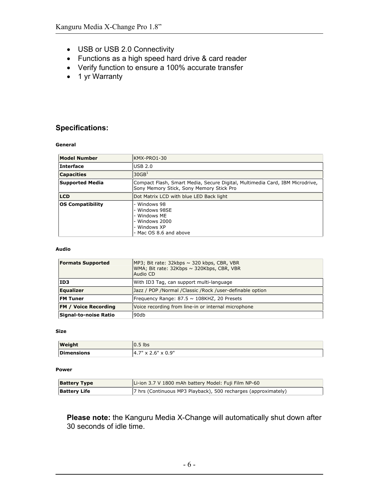- USB or USB 2.0 Connectivity
- Functions as a high speed hard drive & card reader
- Verify function to ensure a 100% accurate transfer
- 1 yr Warranty

### **Specifications:**

**General** 

| <b>Model Number</b>     | KMX-PRO1-30                                                                                                              |
|-------------------------|--------------------------------------------------------------------------------------------------------------------------|
| Interface               | USB 2.0                                                                                                                  |
| <b>Capacities</b>       | 30GB <sup>1</sup>                                                                                                        |
| Supported Media         | Compact Flash, Smart Media, Secure Digital, Multimedia Card, IBM Microdrive,<br>Sony Memory Stick, Sony Memory Stick Pro |
| <b>LCD</b>              | Dot Matrix LCD with blue LED Back light                                                                                  |
| <b>OS Compatibility</b> | - Windows 98<br>- Windows 98SE<br>- Windows MF<br>- Windows 2000<br>- Windows XP<br>- Mac OS 8.6 and above               |

#### **Audio**

| <b>Formats Supported</b>    | MP3; Bit rate: $32kbps \sim 320 kbps$ , CBR, VBR<br>WMA; Bit rate: 32Kbps ~ 320Kbps, CBR, VBR<br>Audio CD |  |
|-----------------------------|-----------------------------------------------------------------------------------------------------------|--|
| ID3                         | With ID3 Tag, can support multi-language                                                                  |  |
| <b>Equalizer</b>            | Jazz / POP /Normal /Classic /Rock /user-definable option                                                  |  |
| <b>FM Tuner</b>             | Frequency Range: $87.5 \sim 108$ KHZ, 20 Presets                                                          |  |
| <b>FM / Voice Recording</b> | Voice recording from line-in or internal microphone                                                       |  |
| Signal-to-noise Ratio       | 90db                                                                                                      |  |

#### **Size**

| Weight            | $0.5$ lbs                             |
|-------------------|---------------------------------------|
| <b>Dimensions</b> | $.7" \times 2.6" \times 0.9"$<br>14.7 |

#### **Power**

| <b>Battery Type</b> | Li-ion 3.7 V 1800 mAh battery Model: Fuji Film NP-60           |  |
|---------------------|----------------------------------------------------------------|--|
| <b>Battery Life</b> | 7 hrs (Continuous MP3 Playback), 500 recharges (approximately) |  |

**Please note:** the Kanguru Media X-Change will automatically shut down after 30 seconds of idle time.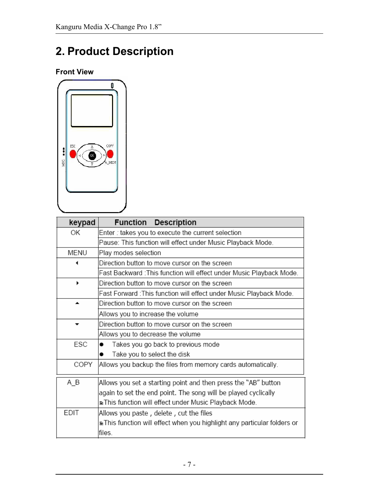# **2. Product Description**

**Front View** 



| keypad                                                                            | <b>Function Description</b>                                          |  |  |
|-----------------------------------------------------------------------------------|----------------------------------------------------------------------|--|--|
| 0K                                                                                | Enter : takes you to execute the current selection                   |  |  |
|                                                                                   | Pause: This function will effect under Music Playback Mode.          |  |  |
| MENU                                                                              | Play modes selection                                                 |  |  |
|                                                                                   | Direction button to move cursor on the screen                        |  |  |
|                                                                                   | Fast Backward : This function will effect under Music Playback Mode. |  |  |
|                                                                                   | Direction button to move cursor on the screen                        |  |  |
|                                                                                   | Fast Forward : This function will effect under Music Playback Mode.  |  |  |
| ▴                                                                                 | Direction button to move cursor on the screen                        |  |  |
|                                                                                   | Allows you to increase the volume                                    |  |  |
|                                                                                   | Direction button to move cursor on the screen                        |  |  |
|                                                                                   | Allows you to decrease the volume                                    |  |  |
| ESC                                                                               | Takes you go back to previous mode                                   |  |  |
|                                                                                   | Take you to select the disk                                          |  |  |
| COPY                                                                              | Allows you backup the files from memory cards automatically.         |  |  |
| A_B                                                                               | Allows you set a starting point and then press the "AB" button       |  |  |
|                                                                                   | again to set the end point. The song will be played cyclically       |  |  |
|                                                                                   | le This function will effect under Music Playback Mode.              |  |  |
| <b>EDIT</b>                                                                       | Allows you paste , delete , cut the files                            |  |  |
| ≘This function will effect when you highlight any particular folders or<br>files. |                                                                      |  |  |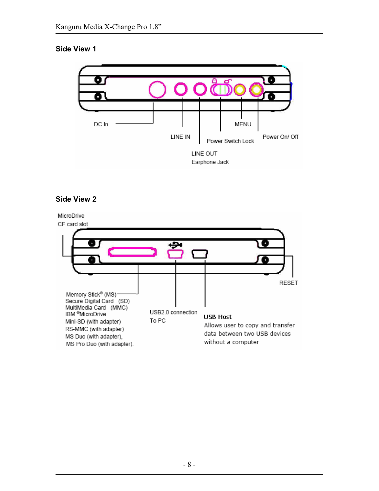# **Side View 1**



# **Side View 2**

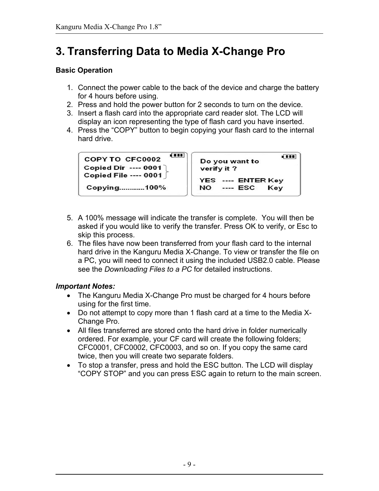# **3. Transferring Data to Media X-Change Pro**

# **Basic Operation**

- 1. Connect the power cable to the back of the device and charge the battery for 4 hours before using.
- 2. Press and hold the power button for 2 seconds to turn on the device.
- 3. Insert a flash card into the appropriate card reader slot. The LCD will display an icon representing the type of flash card you have inserted.
- 4. Press the "COPY" button to begin copying your flash card to the internal hard drive.

```
ரா
COPY TO CFC0002
Copied Dir ---- 0001
Copied File ---- 0001
Copying............100%
```

```
ŒП
Do you want to
verify it?
YES ---- ENTER Key
NO
     ---- ESC
                Key
```
- 5. A 100% message will indicate the transfer is complete. You will then be asked if you would like to verify the transfer. Press OK to verify, or Esc to skip this process.
- 6. The files have now been transferred from your flash card to the internal hard drive in the Kanguru Media X-Change. To view or transfer the file on a PC, you will need to connect it using the included USB2.0 cable. Please see the *Downloading Files to a PC* for detailed instructions.

# *Important Notes:*

- The Kanguru Media X-Change Pro must be charged for 4 hours before using for the first time.
- Do not attempt to copy more than 1 flash card at a time to the Media X-Change Pro.
- All files transferred are stored onto the hard drive in folder numerically ordered. For example, your CF card will create the following folders; CFC0001, CFC0002, CFC0003, and so on. If you copy the same card twice, then you will create two separate folders.
- To stop a transfer, press and hold the ESC button. The LCD will display "COPY STOP" and you can press ESC again to return to the main screen.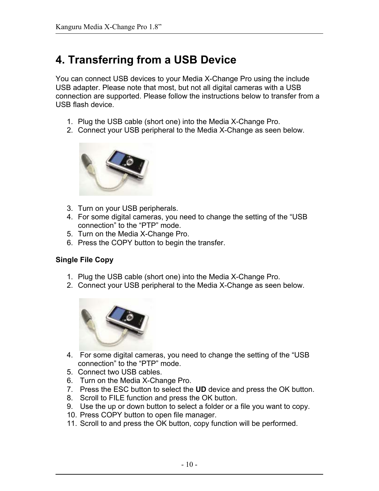# **4. Transferring from a USB Device**

You can connect USB devices to your Media X-Change Pro using the include USB adapter. Please note that most, but not all digital cameras with a USB connection are supported. Please follow the instructions below to transfer from a USB flash device.

- 1. Plug the USB cable (short one) into the Media X-Change Pro.
- 2. Connect your USB peripheral to the Media X-Change as seen below.



- 3. Turn on your USB peripherals.
- 4. For some digital cameras, you need to change the setting of the "USB connection" to the "PTP" mode.
- 5. Turn on the Media X-Change Pro.
- 6. Press the COPY button to begin the transfer.

# **Single File Copy**

- 1. Plug the USB cable (short one) into the Media X-Change Pro.
- 2. Connect your USB peripheral to the Media X-Change as seen below.



- 4. For some digital cameras, you need to change the setting of the "USB connection" to the "PTP" mode.
- 5. Connect two USB cables.
- 6. Turn on the Media X-Change Pro.
- 7. Press the ESC button to select the **UD** device and press the OK button.
- 8. Scroll to FILE function and press the OK button.
- 9. Use the up or down button to select a folder or a file you want to copy.
- 10. Press COPY button to open file manager.
- 11. Scroll to and press the OK button, copy function will be performed.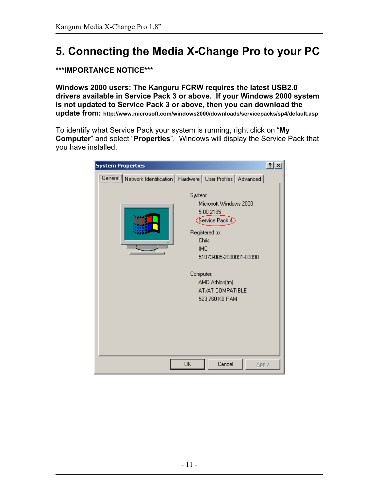# **5. Connecting the Media X-Change Pro to your PC**

# **\*\*\*IMPORTANCE NOTICE\*\*\***

**Windows 2000 users: The Kanguru FCRW requires the latest USB2.0 drivers available in Service Pack 3 or above. If your Windows 2000 system is not updated to Service Pack 3 or above, then you can download the update from: http://www.microsoft.com/windows2000/downloads/servicepacks/sp4/default.asp**

To identify what Service Pack your system is running, right click on "**My Computer**" and select "**Properties**". Windows will display the Service Pack that you have installed.

| <b>System Properties</b>                                             |           |                                                                                                                      | 2x    |
|----------------------------------------------------------------------|-----------|----------------------------------------------------------------------------------------------------------------------|-------|
| General Network Identification   Hardware   User Profiles   Advanced | System:   | Microsoft Windows 2000                                                                                               |       |
|                                                                      |           | 5.00.2195<br>$\sqrt{\frac{1}{2}}$ Service Pack 4<br>Registered to:<br>Chris<br><b>IMC</b><br>51873-005-2880091-09890 |       |
|                                                                      | Computer: | AMD Athlon(tm)<br>AT/AT COMPATIBLE<br>523,760 KB RAM                                                                 |       |
|                                                                      | OK        | Cancel                                                                                                               | Apply |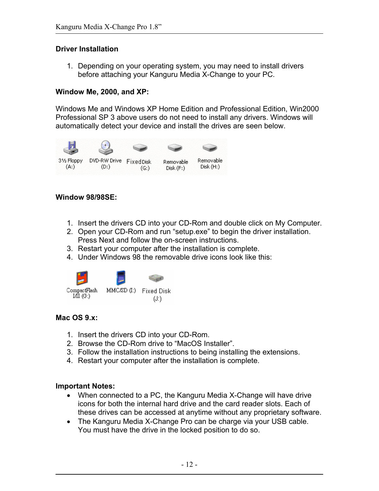### **Driver Installation**

1. Depending on your operating system, you may need to install drivers before attaching your Kanguru Media X-Change to your PC.

# **Window Me, 2000, and XP:**

Windows Me and Windows XP Home Edition and Professional Edition, Win2000 Professional SP 3 above users do not need to install any drivers. Windows will automatically detect your device and install the drives are seen below.



### **Window 98/98SE:**

- 1. Insert the drivers CD into your CD-Rom and double click on My Computer.
- 2. Open your CD-Rom and run "setup.exe" to begin the driver installation. Press Next and follow the on-screen instructions.
- 3. Restart your computer after the installation is complete.
- 4. Under Windows 98 the removable drive icons look like this:



# **Mac OS 9.x:**

- 1. Insert the drivers CD into your CD-Rom.
- 2. Browse the CD-Rom drive to "MacOS Installer".
- 3. Follow the installation instructions to being installing the extensions.
- 4. Restart your computer after the installation is complete.

### **Important Notes:**

- When connected to a PC, the Kanguru Media X-Change will have drive icons for both the internal hard drive and the card reader slots. Each of these drives can be accessed at anytime without any proprietary software.
- The Kanguru Media X-Change Pro can be charge via your USB cable. You must have the drive in the locked position to do so.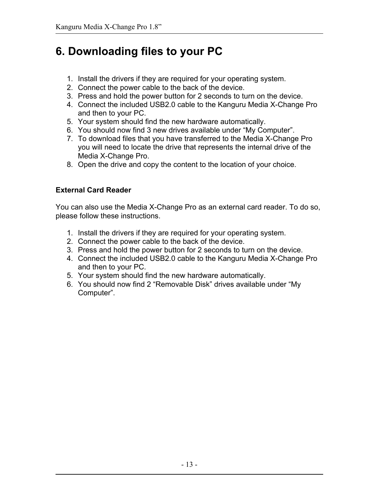# **6. Downloading files to your PC**

- 1. Install the drivers if they are required for your operating system.
- 2. Connect the power cable to the back of the device.
- 3. Press and hold the power button for 2 seconds to turn on the device.
- 4. Connect the included USB2.0 cable to the Kanguru Media X-Change Pro and then to your PC.
- 5. Your system should find the new hardware automatically.
- 6. You should now find 3 new drives available under "My Computer".
- 7. To download files that you have transferred to the Media X-Change Pro you will need to locate the drive that represents the internal drive of the Media X-Change Pro.
- 8. Open the drive and copy the content to the location of your choice.

# **External Card Reader**

You can also use the Media X-Change Pro as an external card reader. To do so, please follow these instructions.

- 1. Install the drivers if they are required for your operating system.
- 2. Connect the power cable to the back of the device.
- 3. Press and hold the power button for 2 seconds to turn on the device.
- 4. Connect the included USB2.0 cable to the Kanguru Media X-Change Pro and then to your PC.
- 5. Your system should find the new hardware automatically.
- 6. You should now find 2 "Removable Disk" drives available under "My Computer".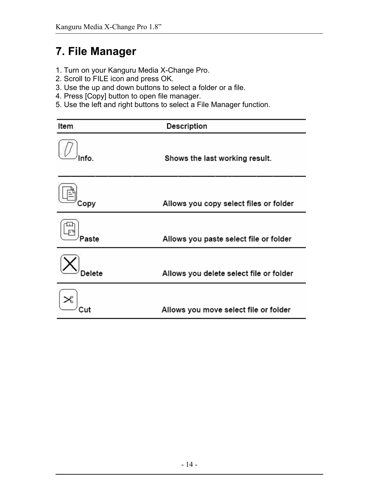# **7. File Manager**

- 1. Turn on your Kanguru Media X-Change Pro.
- 2. Scroll to FILE icon and press OK.
- 3. Use the up and down buttons to select a folder or a file.
- 4. Press [Copy] button to open file manager.
- 5. Use the left and right buttons to select a File Manager function.

| Item   | Description                             |  |  |
|--------|-----------------------------------------|--|--|
| nfo    | Shows the last working result.          |  |  |
| Copy   | Allows you copy select files or folder  |  |  |
| aste   | Allows you paste select file or folder  |  |  |
| Delete | Allows you delete select file or folder |  |  |
|        | Allows you move select file or folder   |  |  |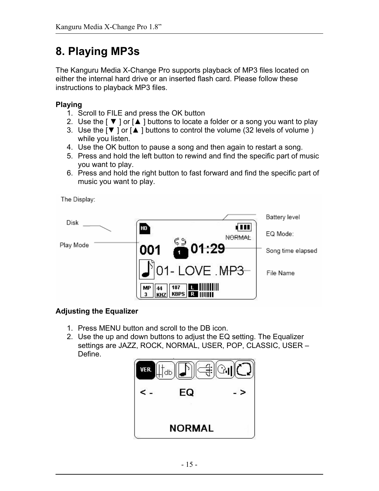# **8. Playing MP3s**

The Kanguru Media X-Change Pro supports playback of MP3 files located on either the internal hard drive or an inserted flash card. Please follow these instructions to playback MP3 files.

# **Playing**

- 1. Scroll to FILE and press the OK button
- 2. Use the  $\lceil \blacktriangledown \rceil$  or  $\lceil \blacktriangle \rceil$  buttons to locate a folder or a song you want to play
- 3. Use the  $\lceil \blacktriangledown \rceil$  or  $\lceil \blacktriangle \rceil$  buttons to control the volume (32 levels of volume) while you listen.
- 4. Use the OK button to pause a song and then again to restart a song.
- 5. Press and hold the left button to rewind and find the specific part of music you want to play.
- 6. Press and hold the right button to fast forward and find the specific part of music you want to play.

The Display:



# **Adjusting the Equalizer**

- 1. Press MENU button and scroll to the DB icon.
- 2. Use the up and down buttons to adjust the EQ setting. The Equalizer settings are JAZZ, ROCK, NORMAL, USER, POP, CLASSIC, USER – Define.

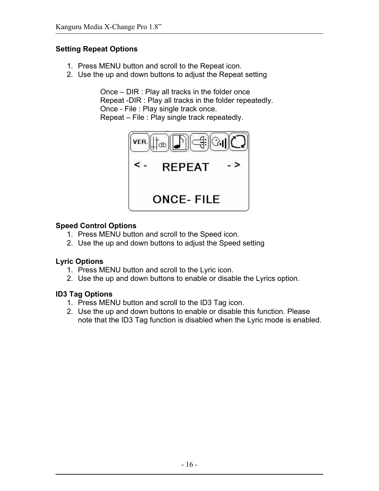# **Setting Repeat Options**

- 1. Press MENU button and scroll to the Repeat icon.
- 2. Use the up and down buttons to adjust the Repeat setting

Once – DIR : Play all tracks in the folder once Repeat -DIR : Play all tracks in the folder repeatedly. Once - File : Play single track once. Repeat – File : Play single track repeatedly.



# **Speed Control Options**

- 1. Press MENU button and scroll to the Speed icon.
- 2. Use the up and down buttons to adjust the Speed setting

# **Lyric Options**

- 1. Press MENU button and scroll to the Lyric icon.
- 2. Use the up and down buttons to enable or disable the Lyrics option.

# **ID3 Tag Options**

- 1. Press MENU button and scroll to the ID3 Tag icon.
- 2. Use the up and down buttons to enable or disable this function. Please note that the ID3 Tag function is disabled when the Lyric mode is enabled.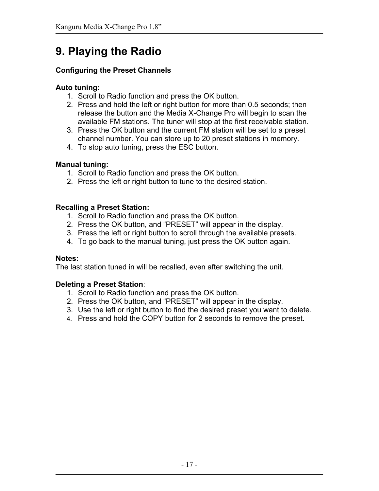# **9. Playing the Radio**

# **Configuring the Preset Channels**

# **Auto tuning:**

- 1. Scroll to Radio function and press the OK button.
- 2. Press and hold the left or right button for more than 0.5 seconds; then release the button and the Media X-Change Pro will begin to scan the available FM stations. The tuner will stop at the first receivable station.
- 3. Press the OK button and the current FM station will be set to a preset channel number. You can store up to 20 preset stations in memory.
- 4. To stop auto tuning, press the ESC button.

# **Manual tuning:**

- 1. Scroll to Radio function and press the OK button.
- 2. Press the left or right button to tune to the desired station.

# **Recalling a Preset Station:**

- 1. Scroll to Radio function and press the OK button.
- 2. Press the OK button, and "PRESET" will appear in the display.
- 3. Press the left or right button to scroll through the available presets.
- 4. To go back to the manual tuning, just press the OK button again.

# **Notes:**

The last station tuned in will be recalled, even after switching the unit.

# **Deleting a Preset Station**:

- 1. Scroll to Radio function and press the OK button.
- 2. Press the OK button, and "PRESET" will appear in the display.
- 3. Use the left or right button to find the desired preset you want to delete.
- 4. Press and hold the COPY button for 2 seconds to remove the preset.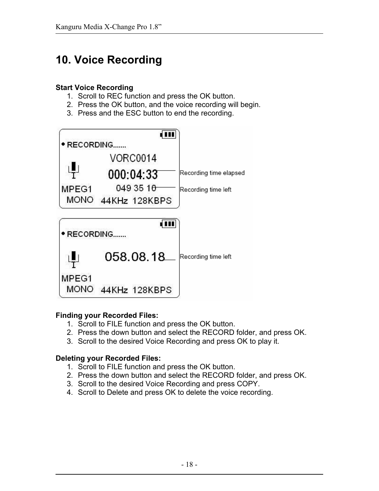# **10. Voice Recording**

### **Start Voice Recording**

- 1. Scroll to REC function and press the OK button.
- 2. Press the OK button, and the voice recording will begin.
- 3. Press and the ESC button to end the recording.



# **Finding your Recorded Files:**

- 1. Scroll to FILE function and press the OK button.
- 2. Press the down button and select the RECORD folder, and press OK.
- 3. Scroll to the desired Voice Recording and press OK to play it.

# **Deleting your Recorded Files:**

- 1. Scroll to FILE function and press the OK button.
- 2. Press the down button and select the RECORD folder, and press OK.
- 3. Scroll to the desired Voice Recording and press COPY.
- 4. Scroll to Delete and press OK to delete the voice recording.